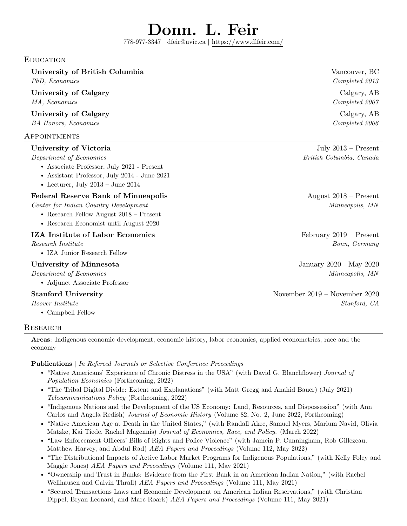# Donn. L. Feir

778-977-3347 | [dfeir@uvic.ca](mailto:dfeir@uvic.ca) | <https://www.dlfeir.com/>

#### **EDUCATION**

University of British Columbia vancouver, BC

University of Calgary Calgary Calgary, AB MA, Economics Completed 2007

University of Calgary Calgary Calgary, AB BA Honors, Economics Completed 2006

# Appointments

#### University of Victoria and Security 1986 and Security 1986 and July 2013 – Present

#### Department of Economics British Columbia, Canada

- Associate Professor, July 2021 Present
- Assistant Professor, July 2014 June 2021
- Lecturer, July  $2013 -$  June  $2014$

# Federal Reserve Bank of Minneapolis August 2018 – Present

Center for Indian Country Development Minneapolis, MN

- Research Fellow August 2018 Present
- Research Economist until August 2020

#### **IZA Institute of Labor Economics** February 2019 – Present

• IZA Junior Research Fellow

### University of Minnesota Theorem 2020 - May 2020 - May 2020

• Adjunct Associate Professor

• Campbell Fellow

#### **RESEARCH**

Areas: Indigenous economic development, economic history, labor economics, applied econometrics, race and the economy

#### Publications | In Refereed Journals or Selective Conference Proceedings

- "Native Americans' Experience of Chronic Distress in the USA" (with David G. Blanchflower) Journal of Population Economics (Forthcoming, 2022)
- "The Tribal Digital Divide: Extent and Explanations" (with Matt Gregg and Anahid Bauer) (July 2021) Telecommunications Policy (Forthcoming, 2022)
- "Indigenous Nations and the Development of the US Economy: Land, Resources, and Dispossession" (with Ann Carlos and Angela Redish) Journal of Economic History (Volume 82, No. 2, June 2022, Forthcoming)
- "Native American Age at Death in the United States," (with Randall Akee, Samuel Myers, Marium Navid, Olivia Matzke, Kai Tiede, Rachel Magennis) Journal of Economics, Race, and Policy. (March 2022)
- "Law Enforcement Officers' Bills of Rights and Police Violence" (with Jamein P. Cunningham, Rob Gillezeau, Matthew Harvey, and Abdul Rad) AEA Papers and Proceedings (Volume 112, May 2022)
- "The Distributional Impacts of Active Labor Market Programs for Indigenous Populations," (with Kelly Foley and Maggie Jones) AEA Papers and Proceedings (Volume 111, May 2021)
- "Ownership and Trust in Banks: Evidence from the First Bank in an American Indian Nation," (with Rachel Wellhausen and Calvin Thrall) AEA Papers and Proceedings (Volume 111, May 2021)
- "Secured Transactions Laws and Economic Development on American Indian Reservations," (with Christian Dippel, Bryan Leonard, and Marc Roark) AEA Papers and Proceedings (Volume 111, May 2021)

PhD, Economics Completed 2013

Research Institute **Bonn, Germany** 

Department of Economics Minneapolis, MN

Stanford University November 2019 – November 2020 Hoover Institute Stanford, CA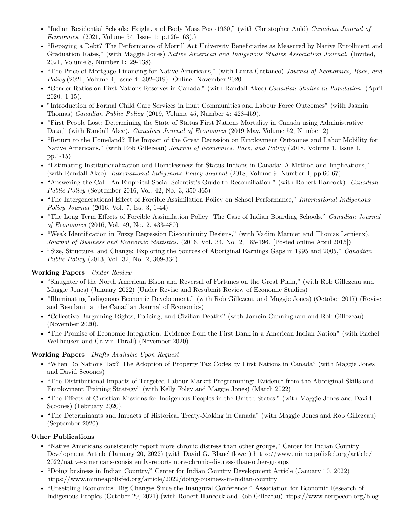- "Indian Residential Schools: Height, and Body Mass Post-1930," (with Christopher Auld) Canadian Journal of Economics. (2021, Volume 54, Issue 1: p.126-163).)
- "Repaying a Debt? The Performance of Morrill Act University Beneficiaries as Measured by Native Enrollment and Graduation Rates," (with Maggie Jones) Native American and Indigenous Studies Association Journal. (Invited, 2021, Volume 8, Number 1:129-138).
- "The Price of Mortgage Financing for Native Americans," (with Laura Cattaneo) Journal of Economics, Race, and Policy.(2021, Volume 4, Issue 4: 302–319). Online: November 2020.
- "Gender Ratios on First Nations Reserves in Canada," (with Randall Akee) Canadian Studies in Population. (April 2020: 1-15).
- "Introduction of Formal Child Care Services in Inuit Communities and Labour Force Outcomes" (with Jasmin Thomas) Canadian Public Policy (2019, Volume 45, Number 4: 428-459).
- "First People Lost: Determining the State of Status First Nations Mortality in Canada using Administrative Data," (with Randall Akee). Canadian Journal of Economics (2019 May, Volume 52, Number 2)
- "Return to the Homeland? The Impact of the Great Recession on Employment Outcomes and Labor Mobility for Native Americans," (with Rob Gillezeau) Journal of Economics, Race, and Policy (2018, Volume 1, Issue 1, pp.1-15)
- "Estimating Institutionalization and Homelessness for Status Indians in Canada: A Method and Implications," (with Randall Akee). International Indigenous Policy Journal (2018, Volume 9, Number 4, pp.60-67)
- "Answering the Call: An Empirical Social Scientist's Guide to Reconciliation," (with Robert Hancock). Canadian Public Policy (September 2016, Vol. 42, No. 3, 350-365)
- "The Intergenerational Effect of Forcible Assimilation Policy on School Performance," International Indigenous Policy Journal (2016, Vol. 7, Iss. 3, 1-44)
- "The Long Term Effects of Forcible Assimilation Policy: The Case of Indian Boarding Schools," Canadian Journal of Economics (2016, Vol. 49, No. 2, 433-480)
- "Weak Identification in Fuzzy Regression Discontinuity Designs," (with Vadim Marmer and Thomas Lemieux). Journal of Business and Economic Statistics. (2016, Vol. 34, No. 2, 185-196. [Posted online April 2015])
- "Size, Structure, and Change: Exploring the Sources of Aboriginal Earnings Gaps in 1995 and 2005," Canadian Public Policy (2013, Vol. 32, No. 2, 309-334)

# Working Papers | Under Review

- "Slaughter of the North American Bison and Reversal of Fortunes on the Great Plain," (with Rob Gillezeau and Maggie Jones) (January 2022) (Under Revise and Resubmit Review of Economic Studies)
- "Illuminating Indigenous Economic Development." (with Rob Gillezeau and Maggie Jones) (October 2017) (Revise and Resubmit at the Canadian Journal of Economics)
- "Collective Bargaining Rights, Policing, and Civilian Deaths" (with Jamein Cunningham and Rob Gillezeau) (November 2020).
- "The Promise of Economic Integration: Evidence from the First Bank in a American Indian Nation" (with Rachel Wellhausen and Calvin Thrall) (November 2020).

# Working Papers | Drafts Available Upon Request

- "When Do Nations Tax? The Adoption of Property Tax Codes by First Nations in Canada" (with Maggie Jones and David Scoones)
- "The Distributional Impacts of Targeted Labour Market Programming: Evidence from the Aboriginal Skills and Employment Training Strategy" (with Kelly Foley and Maggie Jones) (March 2022)
- "The Effects of Christian Missions for Indigenous Peoples in the United States," (with Maggie Jones and David Scoones) (February 2020).
- "The Determinants and Impacts of Historical Treaty-Making in Canada" (with Maggie Jones and Rob Gillezeau) (September 2020)

# Other Publications

- "Native Americans consistently report more chronic distress than other groups," Center for Indian Country Development Article (January 20, 2022) (with David G. Blanchflower) [https://www.minneapolisfed.org/article/](https://www.minneapolisfed.org/article/2022/native-americans-consistently-report-more-chronic-distress-than-other-groups) [2022/native-americans-consistently-report-more-chronic-distress-than-other-groups](https://www.minneapolisfed.org/article/2022/native-americans-consistently-report-more-chronic-distress-than-other-groups)
- "Doing business in Indian Country," Center for Indian Country Development Article (January 10, 2022) <https://www.minneapolisfed.org/article/2022/doing-business-in-indian-country>
- "Unsettling Economics: Big Changes Since the Inaugural Conference " Association for Economic Research of Indigenous Peoples (October 29, 2021) (with Robert Hancock and Rob Gillezeau)<https://www.aeripecon.org/blog>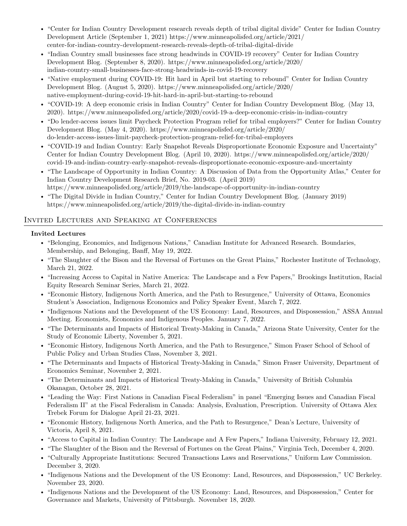- "Center for Indian Country Development research reveals depth of tribal digital divide" Center for Indian Country Development Article (September 1, 2021) [https://www.minneapolisfed.org/article/2021/](https://www.minneapolisfed.org/article/2021/center-for-indian-country-development-research-reveals-depth-of-tribal-digital-divide) [center-for-indian-country-development-research-reveals-depth-of-tribal-digital-divide](https://www.minneapolisfed.org/article/2021/center-for-indian-country-development-research-reveals-depth-of-tribal-digital-divide)
- "Indian Country small businesses face strong headwinds in COVID-19 recovery" Center for Indian Country Development Blog. (September 8, 2020). [https://www.minneapolisfed.org/article/2020/](https://www.minneapolisfed.org/article/2020/indian-country-small-businesses-face-strong-headwinds-in-covid-19-recovery ) [indian-country-small-businesses-face-strong-headwinds-in-covid-19-recovery](https://www.minneapolisfed.org/article/2020/indian-country-small-businesses-face-strong-headwinds-in-covid-19-recovery )
- "Native employment during COVID-19: Hit hard in April but starting to rebound" Center for Indian Country Development Blog. (August 5, 2020). [https://www.minneapolisfed.org/article/2020/](https://www.minneapolisfed.org/article/2020/native-employment-during-covid-19-hit-hard-in-april-but-starting-to-rebound ) [native-employment-during-covid-19-hit-hard-in-april-but-starting-to-rebound](https://www.minneapolisfed.org/article/2020/native-employment-during-covid-19-hit-hard-in-april-but-starting-to-rebound )
- "COVID-19: A deep economic crisis in Indian Country" Center for Indian Country Development Blog. (May 13, 2020).<https://www.minneapolisfed.org/article/2020/covid-19-a-deep-economic-crisis-in-indian-country>
- "Do lender-access issues limit Paycheck Protection Program relief for tribal employers?" Center for Indian Country Development Blog. (May 4, 2020). [https://www.minneapolisfed.org/article/2020/](https://www.minneapolisfed.org/article/2020/do-lender-access-issues-limit-paycheck-protection-program-relief-for-tribal-employers) [do-lender-access-issues-limit-paycheck-protection-program-relief-for-tribal-employers](https://www.minneapolisfed.org/article/2020/do-lender-access-issues-limit-paycheck-protection-program-relief-for-tribal-employers)
- "COVID-19 and Indian Country: Early Snapshot Reveals Disproportionate Economic Exposure and Uncertainty" Center for Indian Country Development Blog. (April 10, 2020). [https://www.minneapolisfed.org/article/2020/](https://www.minneapolisfed.org/article/2020/covid-19-and-indian-country-early-snapshot-reveals-disproportionate-economic-exposure-and-uncertainty) [covid-19-and-indian-country-early-snapshot-reveals-disproportionate-economic-exposure-and-uncertainty](https://www.minneapolisfed.org/article/2020/covid-19-and-indian-country-early-snapshot-reveals-disproportionate-economic-exposure-and-uncertainty)
- "The Landscape of Opportunity in Indian Country: A Discussion of Data from the Opportunity Atlas," Center for Indian Country Development Research Brief, No. 2019-03. (April 2019) <https://www.minneapolisfed.org/article/2019/the-landscape-of-opportunity-in-indian-country>
- "The Digital Divide in Indian Country," Center for Indian Country Development Blog. (January 2019) <https://www.minneapolisfed.org/article/2019/the-digital-divide-in-indian-country>

# Invited Lectures and Speaking at Conferences

#### Invited Lectures

- "Belonging, Economics, and Indigenous Nations," Canadian Institute for Advanced Research. Boundaries, Membership, and Belonging, Banff, May 19, 2022.
- "The Slaughter of the Bison and the Reversal of Fortunes on the Great Plains," Rochester Institute of Technology, March 21, 2022.
- "Increasing Access to Capital in Native America: The Landscape and a Few Papers," Brookings Institution, Racial Equity Research Seminar Series, March 21, 2022.
- "Economic History, Indigenous North America, and the Path to Resurgence," University of Ottawa, Economics Student's Association, Indigenous Economics and Policy Speaker Event, March 7, 2022.
- "Indigenous Nations and the Development of the US Economy: Land, Resources, and Dispossession," ASSA Annual Meeting. Economists, Economics and Indigenous Peoples. January 7, 2022.
- "The Determinants and Impacts of Historical Treaty-Making in Canada," Arizona State University, Center for the Study of Economic Liberty, November 5, 2021.
- "Economic History, Indigenous North America, and the Path to Resurgence," Simon Fraser School of School of Public Policy and Urban Studies Class, November 3, 2021.
- "The Determinants and Impacts of Historical Treaty-Making in Canada," Simon Fraser University, Department of Economics Seminar, November 2, 2021.
- "The Determinants and Impacts of Historical Treaty-Making in Canada," University of British Columbia Okanagan, October 28, 2021.
- "Leading the Way: First Nations in Canadian Fiscal Federalism" in panel "Emerging Issues and Canadian Fiscal Federalism II" at the Fiscal Federalism in Canada: Analysis, Evaluation, Prescription. University of Ottawa Alex Trebek Forum for Dialogue April 21-23, 2021.
- "Economic History, Indigenous North America, and the Path to Resurgence," Dean's Lecture, University of Victoria, April 8, 2021.
- "Access to Capital in Indian Country: The Landscape and A Few Papers," Indiana University, February 12, 2021.
- "The Slaughter of the Bison and the Reversal of Fortunes on the Great Plains," Virginia Tech, December 4, 2020.
- "Culturally Appropriate Institutions: Secured Transactions Laws and Reservations," Uniform Law Commission. December 3, 2020.
- "Indigenous Nations and the Development of the US Economy: Land, Resources, and Dispossession," UC Berkeley. November 23, 2020.
- "Indigenous Nations and the Development of the US Economy: Land, Resources, and Dispossession," Center for Governance and Markets, University of Pittsburgh. November 18, 2020.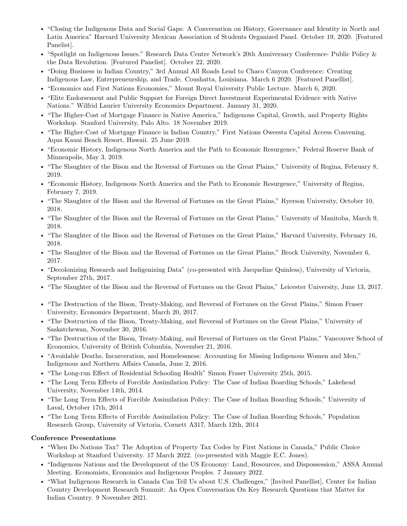- "Closing the Indigenous Data and Social Gaps: A Conversation on History, Governance and Identity in North and Latin America" Harvard University Mexican Association of Students Organized Panel. October 19, 2020. [Featured Panelist].
- "Spotlight on Indigenous Issues." Research Data Centre Network's 20th Anniversary Conference- Public Policy & the Data Revolution. [Featured Panelist]. October 22, 2020.
- "Doing Business in Indian Country," 3rd Annual All Roads Lead to Chaco Canyon Conference: Creating Indigenous Law, Entrepreneurship, and Trade. Coushatta, Louisiana. March 6 2020. [Featured Panellist].
- "Economics and First Nations Economies," Mount Royal University Public Lecture. March 6, 2020.
- "Elite Endorsement and Public Support for Foreign Direct Investment Experimental Evidence with Native Nations." Wilfrid Laurier University Economics Department. January 31, 2020.
- "The Higher-Cost of Mortgage Finance in Native America," Indigenous Capital, Growth, and Property Rights Workshop. Stanford University, Palo Alto. 18 November 2019.
- "The Higher-Cost of Mortgage Finance in Indian Country," First Nations Oweesta Capital Access Convening. Aqua Kauai Beach Resort, Hawaii. 25 June 2019.
- "Economic History, Indigenous North America and the Path to Economic Resurgence," Federal Reserve Bank of Minneapolis, May 3, 2019.
- "The Slaughter of the Bison and the Reversal of Fortunes on the Great Plains," University of Regina, February 8, 2019.
- "Economic History, Indigenous North America and the Path to Economic Resurgence," University of Regina, February 7, 2019.
- "The Slaughter of the Bison and the Reversal of Fortunes on the Great Plains," Ryerson University, October 10, 2018.
- "The Slaughter of the Bison and the Reversal of Fortunes on the Great Plains," University of Manitoba, March 9, 2018.
- "The Slaughter of the Bison and the Reversal of Fortunes on the Great Plains," Harvard University, February 16, 2018.
- "The Slaughter of the Bison and the Reversal of Fortunes on the Great Plains," Brock University, November 6, 2017.
- "Decolonizing Research and Indigenizing Data" (co-presented with Jacqueline Quinless), University of Victoria, September 27th, 2017.
- "The Slaughter of the Bison and the Reversal of Fortunes on the Great Plains," Leicester University, June 13, 2017.
- "The Destruction of the Bison, Treaty-Making, and Reversal of Fortunes on the Great Plains," Simon Fraser University, Economics Department, March 20, 2017.
- "The Destruction of the Bison, Treaty-Making, and Reversal of Fortunes on the Great Plains," University of Saskatchewan, November 30, 2016.
- "The Destruction of the Bison, Treaty-Making, and Reversal of Fortunes on the Great Plains," Vancouver School of Economics, University of British Columbia, November 21, 2016.
- "Avoidable Deaths, Incarceration, and Homelessness: Accounting for Missing Indigenous Women and Men," Indigenous and Northern Affairs Canada, June 2, 2016.
- "The Long-run Effect of Residential Schooling Health" Simon Fraser University 25th, 2015.
- "The Long Term Effects of Forcible Assimilation Policy: The Case of Indian Boarding Schools," Lakehead University, November 14th, 2014.
- "The Long Term Effects of Forcible Assimilation Policy: The Case of Indian Boarding Schools," University of Laval, October 17th, 2014
- "The Long Term Effects of Forcible Assimilation Policy: The Case of Indian Boarding Schools," Population Research Group, University of Victoria, Cornett A317, March 12th, 2014

#### Conference Presentations

- "When Do Nations Tax? The Adoption of Property Tax Codes by First Nations in Canada," Public Choice Workshop at Stanford University. 17 March 2022. (co-presented with Maggie E.C. Jones).
- "Indigenous Nations and the Development of the US Economy: Land, Resources, and Dispossession," ASSA Annual Meeting. Economists, Economics and Indigenous Peoples. 7 January 2022.
- "What Indigenous Research in Canada Can Tell Us about U.S. Challenges," [Invited Panellist], Center for Indian Country Development Research Summit: An Open Conversation On Key Research Questions that Matter for Indian Country. 9 November 2021.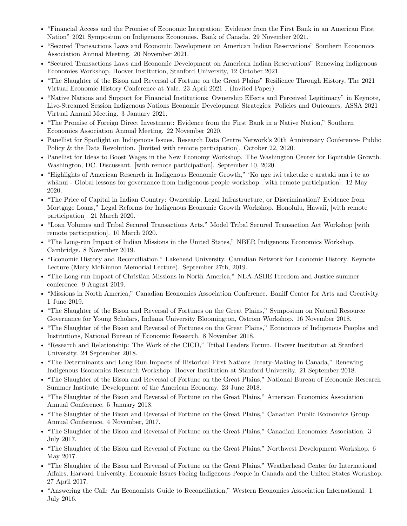- "Financial Access and the Promise of Economic Integration: Evidence from the First Bank in an American First Nation" 2021 Symposium on Indigenous Economies. Bank of Canada. 29 November 2021.
- "Secured Transactions Laws and Economic Development on American Indian Reservations" Southern Economics Association Annual Meeting. 20 November 2021.
- "Secured Transactions Laws and Economic Development on American Indian Reservations" Renewing Indigenous Economies Workshop, Hoover Institution, Stanford University, 12 October 2021.
- "The Slaughter of the Bison and Reversal of Fortune on the Great Plains" Resilience Through History, The 2021 Virtual Economic History Conference at Yale. 23 April 2021 . (Invited Paper)
- "Native Nations and Support for Financial Institutions: Ownership Effects and Perceived Legitimacy" in Keynote, Live-Streamed Session Indigenous Nations Economic Development Strategies: Policies and Outcomes. ASSA 2021 Virtual Annual Meeting. 3 January 2021.
- "The Promise of Foreign Direct Investment: Evidence from the First Bank in a Native Nation," Southern Economics Association Annual Meeting. 22 November 2020.
- Panellist for Spotlight on Indigenous Issues. Research Data Centre Network's 20th Anniversary Conference- Public Policy & the Data Revolution. [Invited with remote participation]. October 22, 2020.
- Panellist for Ideas to Boost Wages in the New Economy Workshop. The Washington Center for Equitable Growth. Washington, DC. Discussant. [with remote participation]. September 10, 2020.
- "Highlights of American Research in Indigenous Economic Growth," 'Ko ngā iwi taketake e arataki ana i te ao whānui - Global lessons for governance from Indigenous people workshop .[with remote participation]. 12 May 2020.
- "The Price of Capital in Indian Country: Ownership, Legal Infrastructure, or Discrimination? Evidence from Mortgage Loans," Legal Reforms for Indigenous Economic Growth Workshop. Honolulu, Hawaii, [with remote participation]. 21 March 2020.
- "Loan Volumes and Tribal Secured Transactions Acts." Model Tribal Secured Transaction Act Workshop [with remote participation]. 10 March 2020.
- "The Long-run Impact of Indian Missions in the United States," NBER Indigenous Economics Workshop. Cambridge. 8 November 2019.
- "Economic History and Reconciliation." Lakehead University. Canadian Network for Economic History. Keynote Lecture (Mary McKinnon Memorial Lecture). September 27th, 2019.
- "The Long-run Impact of Christian Missions in North America," NEA-ASHE Freedom and Justice summer conference. 9 August 2019.
- "Missions in North America," Canadian Economics Association Conference. Baniff Center for Arts and Creativity. 1 June 2019.
- "The Slaughter of the Bison and Reversal of Fortunes on the Great Plains," Symposium on Natural Resource Governance for Young Scholars, Indiana University Bloomington, Ostrom Workshop. 16 November 2018.
- "The Slaughter of the Bison and Reversal of Fortunes on the Great Plains," Economics of Indigenous Peoples and Institutions, National Bureau of Economic Research. 8 November 2018.
- "Research and Relationship: The Work of the CICD," Tribal Leaders Forum. Hoover Institution at Stanford University. 24 September 2018.
- "The Determinants and Long Run Impacts of Historical First Nations Treaty-Making in Canada," Renewing Indigenous Economies Research Workshop. Hoover Institution at Stanford University. 21 September 2018.
- "The Slaughter of the Bison and Reversal of Fortune on the Great Plains," National Bureau of Economic Research Summer Institute, Development of the American Economy. 23 June 2018.
- "The Slaughter of the Bison and Reversal of Fortune on the Great Plains," American Economics Association Annual Conference. 5 January 2018.
- "The Slaughter of the Bison and Reversal of Fortune on the Great Plains," Canadian Public Economics Group Annual Conference. 4 November, 2017.
- "The Slaughter of the Bison and Reversal of Fortune on the Great Plains," Canadian Economics Association. 3 July 2017.
- "The Slaughter of the Bison and Reversal of Fortune on the Great Plains," Northwest Development Workshop. 6 May 2017.
- "The Slaughter of the Bison and Reversal of Fortune on the Great Plains," Weatherhead Center for International Affairs, Harvard University, Economic Issues Facing Indigenous People in Canada and the United States Workshop. 27 April 2017.
- "Answering the Call: An Economists Guide to Reconciliation," Western Economics Association International. 1 July 2016.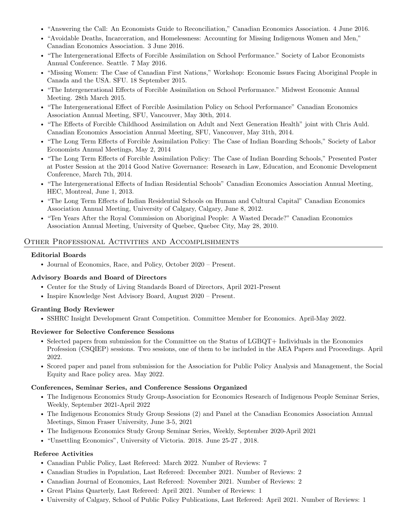- "Answering the Call: An Economists Guide to Reconciliation," Canadian Economics Association. 4 June 2016.
- "Avoidable Deaths, Incarceration, and Homelessness: Accounting for Missing Indigenous Women and Men," Canadian Economics Association. 3 June 2016.
- "The Intergenerational Effects of Forcible Assimilation on School Performance." Society of Labor Economists Annual Conference. Seattle. 7 May 2016.
- "Missing Women: The Case of Canadian First Nations," Workshop: Economic Issues Facing Aboriginal People in Canada and the USA. SFU. 18 September 2015.
- "The Intergenerational Effects of Forcible Assimilation on School Performance." Midwest Economic Annual Meeting. 28th March 2015.
- "The Intergenerational Effect of Forcible Assimilation Policy on School Performance" Canadian Economics Association Annual Meeting, SFU, Vancouver, May 30th, 2014.
- "The Effects of Forcible Childhood Assimilation on Adult and Next Generation Health" joint with Chris Auld. Canadian Economics Association Annual Meeting, SFU, Vancouver, May 31th, 2014.
- "The Long Term Effects of Forcible Assimilation Policy: The Case of Indian Boarding Schools," Society of Labor Economists Annual Meetings, May 2, 2014
- "The Long Term Effects of Forcible Assimilation Policy: The Case of Indian Boarding Schools," Presented Poster at Poster Session at the 2014 Good Native Governance: Research in Law, Education, and Economic Development Conference, March 7th, 2014.
- "The Intergenerational Effects of Indian Residential Schools" Canadian Economics Association Annual Meeting, HEC, Montreal, June 1, 2013.
- "The Long Term Effects of Indian Residential Schools on Human and Cultural Capital" Canadian Economics Association Annual Meeting, University of Calgary, Calgary, June 8, 2012.
- "Ten Years After the Royal Commission on Aboriginal People: A Wasted Decade?" Canadian Economics Association Annual Meeting, University of Quebec, Quebec City, May 28, 2010.

# Other Professional Activities and Accomplishments

#### Editorial Boards

• Journal of Economics, Race, and Policy, October 2020 – Present.

# Advisory Boards and Board of Directors

- Center for the Study of Living Standards Board of Directors, April 2021-Present
- Inspire Knowledge Nest Advisory Board, August 2020 Present.

# Granting Body Reviewer

• SSHRC Insight Development Grant Competition. Committee Member for Economics. April-May 2022.

# Reviewer for Selective Conference Sessions

- Selected papers from submission for the Committee on the Status of LGBQT+ Individuals in the Economics Profession (CSQIEP) sessions. Two sessions, one of them to be included in the AEA Papers and Proceedings. April 2022.
- Scored paper and panel from submission for the Association for Public Policy Analysis and Management, the Social Equity and Race policy area. May 2022.

#### Conferences, Seminar Series, and Conference Sessions Organized

- The Indigenous Economics Study Group-Association for Economics Research of Indigenous People Seminar Series, Weekly, September 2021-April 2022
- The Indigenous Economics Study Group Sessions (2) and Panel at the Canadian Economics Association Annual Meetings, Simon Fraser University, June 3-5, 2021
- The Indigenous Economics Study Group Seminar Series, Weekly, September 2020-April 2021
- "Unsettling Economics", University of Victoria. 2018. June 25-27 , 2018.

# Referee Activities

- Canadian Public Policy, Last Refereed: March 2022. Number of Reviews: 7
- Canadian Studies in Population, Last Refereed: December 2021. Number of Reviews: 2
- Canadian Journal of Economics, Last Refereed: November 2021. Number of Reviews: 2
- Great Plains Quarterly, Last Refereed: April 2021. Number of Reviews: 1
- University of Calgary, School of Public Policy Publications, Last Refereed: April 2021. Number of Reviews: 1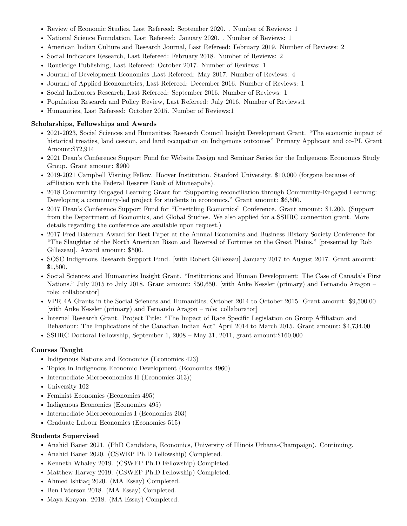- Review of Economic Studies, Last Refereed: September 2020. . Number of Reviews: 1
- National Science Foundation, Last Refereed: January 2020. . Number of Reviews: 1
- American Indian Culture and Research Journal, Last Refereed: February 2019. Number of Reviews: 2
- Social Indicators Research, Last Refereed: February 2018. Number of Reviews: 2
- Routledge Publishing, Last Refereed: October 2017. Number of Reviews: 1
- Journal of Development Economics ,Last Refereed: May 2017. Number of Reviews: 4
- Journal of Applied Econometrics, Last Refereed: December 2016. Number of Reviews: 1
- Social Indicators Research, Last Refereed: September 2016. Number of Reviews: 1
- Population Research and Policy Review, Last Refereed: July 2016. Number of Reviews:1
- Humanities, Last Refereed: October 2015. Number of Reviews:1

#### Scholarships, Fellowships and Awards

- 2021-2023, Social Sciences and Humanities Research Council Insight Development Grant. "The economic impact of historical treaties, land cession, and land occupation on Indigenous outcomes" Primary Applicant and co-PI. Grant Amount:\$72,914
- 2021 Dean's Conference Support Fund for Website Design and Seminar Series for the Indigenous Economics Study Group. Grant amount: \$900
- 2019-2021 Campbell Visiting Fellow. Hoover Institution. Stanford University. \$10,000 (forgone because of affiliation with the Federal Reserve Bank of Minneapolis).
- 2018 Community Engaged Learning Grant for "Supporting reconciliation through Community-Engaged Learning: Developing a community-led project for students in economics." Grant amount: \$6,500.
- 2017 Dean's Conference Support Fund for "Unsettling Economics" Conference. Grant amount: \$1,200. (Support from the Department of Economics, and Global Studies. We also applied for a SSHRC connection grant. More details regarding the conference are available upon request.)
- 2017 Fred Bateman Award for Best Paper at the Annual Economics and Business History Society Conference for "The Slaughter of the North American Bison and Reversal of Fortunes on the Great Plains." [presented by Rob Gillezeau]. Award amount: \$500.
- SOSC Indigenous Research Support Fund. [with Robert Gillezeau] January 2017 to August 2017. Grant amount: \$1,500.
- Social Sciences and Humanities Insight Grant. "Institutions and Human Development: The Case of Canada's First Nations." July 2015 to July 2018. Grant amount: \$50,650. [with Anke Kessler (primary) and Fernando Aragon – role: collaborator]
- VPR 4A Grants in the Social Sciences and Humanities, October 2014 to October 2015. Grant amount: \$9,500.00 [with Anke Kessler (primary) and Fernando Aragon – role: collaborator]
- Internal Research Grant. Project Title: "The Impact of Race Specific Legislation on Group Affiliation and Behaviour: The Implications of the Canadian Indian Act" April 2014 to March 2015. Grant amount: \$4,734.00
- SSHRC Doctoral Fellowship, September 1, 2008 May 31, 2011, grant amount:\$160,000

# Courses Taught

- Indigenous Nations and Economics (Economics 423)
- Topics in Indigenous Economic Development (Economics 4960)
- Intermediate Microeconomics II (Economics 313))
- University 102
- Feminist Economics (Economics 495)
- Indigenous Economics (Economics 495)
- Intermediate Microeconomics I (Economics 203)
- Graduate Labour Economics (Economics 515)

#### Students Supervised

- Anahid Bauer 2021. (PhD Candidate, Economics, University of Illinois Urbana-Champaign). Continuing.
- Anahid Bauer 2020. (CSWEP Ph.D Fellowship) Completed.
- Kenneth Whaley 2019. (CSWEP Ph.D Fellowship) Completed.
- Matthew Harvey 2019. (CSWEP Ph.D Fellowship) Completed.
- Ahmed Ishtiaq 2020. (MA Essay) Completed.
- Ben Paterson 2018. (MA Essay) Completed.
- Maya Krayan. 2018. (MA Essay) Completed.